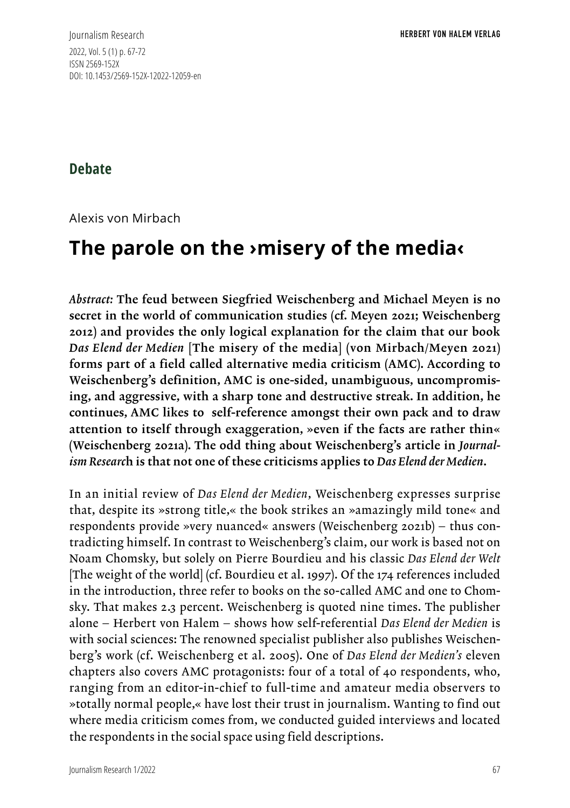Journalism Research 2022, Vol. 5 (1) p. 67-72 ISSN 2569-152X DOI: 10.1453/2569-152X-12022-12059-en

## **Debate**

Alexis von Mirbach

## **The parole on the ›misery of the media‹**

*Abstract:* The feud between Siegfried Weischenberg and Michael Meyen is no secret in the world of communication studies (cf. Meyen 2021; Weischenberg 2012) and provides the only logical explanation for the claim that our book *Das Elend der Medien* [The misery of the media] (von Mirbach/Meyen 2021) forms part of a field called alternative media criticism (AMC). According to Weischenberg's definition, AMC is one-sided, unambiguous, uncompromising, and aggressive, with a sharp tone and destructive streak. In addition, he continues, AMC likes to self-reference amongst their own pack and to draw attention to itself through exaggeration, »even if the facts are rather thin« (Weischenberg 2021a). The odd thing about Weischenberg's article in *Journalism Researc*h is that not one of these criticisms applies to *Das Elend der Medien*.

In an initial review of *Das Elend der Medien*, Weischenberg expresses surprise that, despite its »strong title,« the book strikes an »amazingly mild tone« and respondents provide »very nuanced« answers (Weischenberg 2021b) – thus contradicting himself. In contrast to Weischenberg's claim, our work is based not on Noam Chomsky, but solely on Pierre Bourdieu and his classic *Das Elend der Welt* [The weight of the world] (cf. Bourdieu et al. 1997). Of the 174 references included in the introduction, three refer to books on the so-called AMC and one to Chomsky. That makes 2.3 percent. Weischenberg is quoted nine times. The publisher alone – Herbert von Halem – shows how self-referential *Das Elend der Medien* is with social sciences: The renowned specialist publisher also publishes Weischenberg's work (cf. Weischenberg et al. 2005). One of *Das Elend der Medien's* eleven chapters also covers AMC protagonists: four of a total of 40 respondents, who, ranging from an editor-in-chief to full-time and amateur media observers to »totally normal people,« have lost their trust in journalism. Wanting to find out where media criticism comes from, we conducted guided interviews and located the respondents in the social space using field descriptions.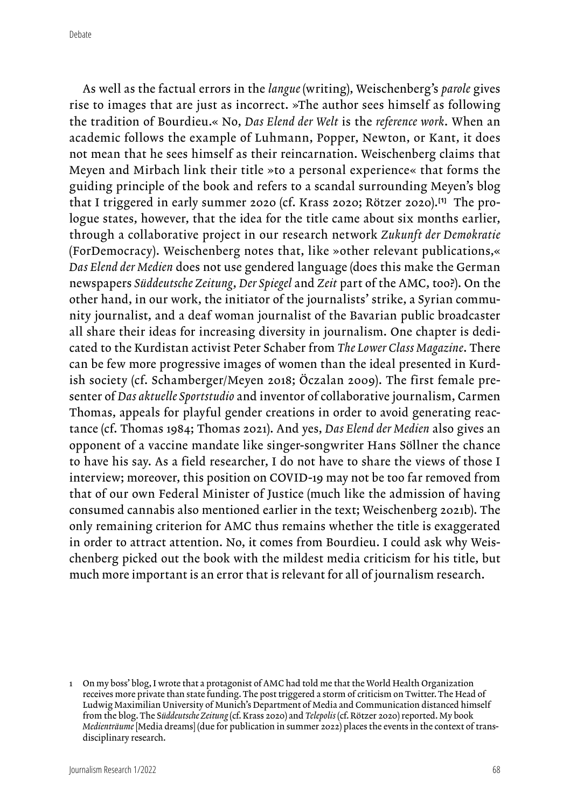As well as the factual errors in the *langue* (writing), Weischenberg's *parole* gives rise to images that are just as incorrect. »The author sees himself as following the tradition of Bourdieu.« No, *Das Elend der Welt* is the *reference work*. When an academic follows the example of Luhmann, Popper, Newton, or Kant, it does not mean that he sees himself as their reincarnation. Weischenberg claims that Meyen and Mirbach link their title »to a personal experience« that forms the guiding principle of the book and refers to a scandal surrounding Meyen's blog that I triggered in early summer 2020 (cf. Krass 2020; Rötzer 2020).**[1]** The prologue states, however, that the idea for the title came about six months earlier, through a collaborative project in our research network *Zukunft der Demokratie*  (ForDemocracy). Weischenberg notes that, like »other relevant publications,« *Das Elend der Medien* does not use gendered language (does this make the German newspapers *Süddeutsche Zeitung*, *Der Spiegel* and *Zeit* part of the AMC, too?). On the other hand, in our work, the initiator of the journalists' strike, a Syrian community journalist, and a deaf woman journalist of the Bavarian public broadcaster all share their ideas for increasing diversity in journalism. One chapter is dedicated to the Kurdistan activist Peter Schaber from *The Lower Class Magazine*. There can be few more progressive images of women than the ideal presented in Kurdish society (cf. Schamberger/Meyen 2018; Öczalan 2009). The first female presenter of *Das aktuelle Sportstudio* and inventor of collaborative journalism, Carmen Thomas, appeals for playful gender creations in order to avoid generating reactance (cf. Thomas 1984; Thomas 2021). And yes, *Das Elend der Medien* also gives an opponent of a vaccine mandate like singer-songwriter Hans Söllner the chance to have his say. As a field researcher, I do not have to share the views of those I interview; moreover, this position on COVID-19 may not be too far removed from that of our own Federal Minister of Justice (much like the admission of having consumed cannabis also mentioned earlier in the text; Weischenberg 2021b). The only remaining criterion for AMC thus remains whether the title is exaggerated in order to attract attention. No, it comes from Bourdieu. I could ask why Weischenberg picked out the book with the mildest media criticism for his title, but much more important is an error that is relevant for all of journalism research.

<sup>1</sup> On my boss' blog, I wrote that a protagonist of AMC had told me that the World Health Organization receives more private than state funding. The post triggered a storm of criticism on Twitter. The Head of Ludwig Maximilian University of Munich's Department of Media and Communication distanced himself from the blog. The S*üddeutsche Zeitung* (cf. Krass 2020) and *Telepolis* (cf. Rötzer 2020) reported. My book *Medienträume* [Media dreams] (due for publication in summer 2022) places the events in the context of transdisciplinary research.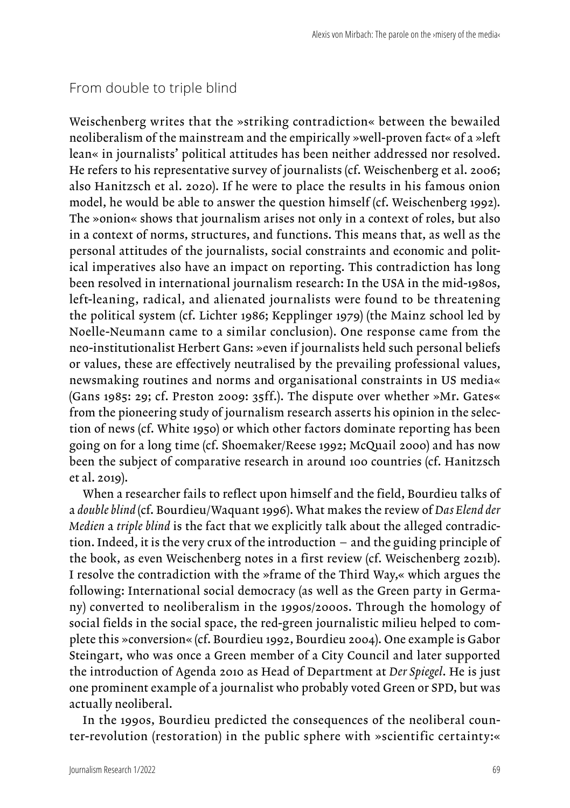## From double to triple blind

Weischenberg writes that the »striking contradiction« between the bewailed neoliberalism of the mainstream and the empirically »well-proven fact« of a »left lean« in journalists' political attitudes has been neither addressed nor resolved. He refers to his representative survey of journalists (cf. Weischenberg et al. 2006; also Hanitzsch et al. 2020). If he were to place the results in his famous onion model, he would be able to answer the question himself (cf. Weischenberg 1992). The »onion« shows that journalism arises not only in a context of roles, but also in a context of norms, structures, and functions. This means that, as well as the personal attitudes of the journalists, social constraints and economic and political imperatives also have an impact on reporting. This contradiction has long been resolved in international journalism research: In the USA in the mid-1980s, left-leaning, radical, and alienated journalists were found to be threatening the political system (cf. Lichter 1986; Kepplinger 1979) (the Mainz school led by Noelle-Neumann came to a similar conclusion). One response came from the neo-institutionalist Herbert Gans: »even if journalists held such personal beliefs or values, these are effectively neutralised by the prevailing professional values, newsmaking routines and norms and organisational constraints in US media« (Gans 1985: 29; cf. Preston 2009: 35ff.). The dispute over whether »Mr. Gates« from the pioneering study of journalism research asserts his opinion in the selection of news (cf. White 1950) or which other factors dominate reporting has been going on for a long time (cf. Shoemaker/Reese 1992; McQuail 2000) and has now been the subject of comparative research in around 100 countries (cf. Hanitzsch et al. 2019).

When a researcher fails to reflect upon himself and the field, Bourdieu talks of a *double blind* (cf. Bourdieu/Waquant 1996). What makes the review of *Das Elend der Medien* a *triple blind* is the fact that we explicitly talk about the alleged contradiction. Indeed, it is the very crux of the introduction – and the guiding principle of the book, as even Weischenberg notes in a first review (cf. Weischenberg 2021b). I resolve the contradiction with the »frame of the Third Way,« which argues the following: International social democracy (as well as the Green party in Germany) converted to neoliberalism in the 1990s/2000s. Through the homology of social fields in the social space, the red-green journalistic milieu helped to complete this »conversion« (cf. Bourdieu 1992, Bourdieu 2004). One example is Gabor Steingart, who was once a Green member of a City Council and later supported the introduction of Agenda 2010 as Head of Department at *Der Spiegel*. He is just one prominent example of a journalist who probably voted Green or SPD, but was actually neoliberal.

In the 1990s, Bourdieu predicted the consequences of the neoliberal counter-revolution (restoration) in the public sphere with »scientific certainty:«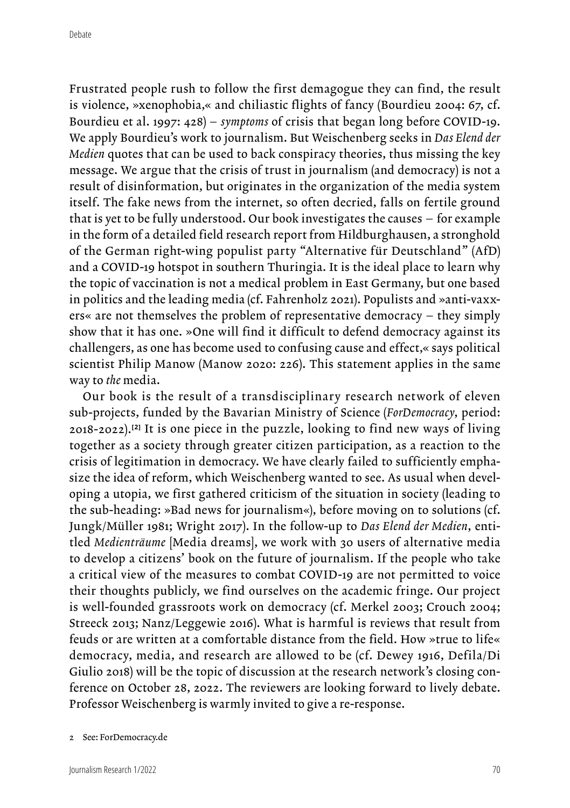Frustrated people rush to follow the first demagogue they can find, the result is violence, »xenophobia,« and chiliastic flights of fancy (Bourdieu 2004: 67, cf. Bourdieu et al. 1997: 428) – *symptoms* of crisis that began long before COVID-19. We apply Bourdieu's work to journalism. But Weischenberg seeks in *Das Elend der Medien* quotes that can be used to back conspiracy theories, thus missing the key message. We argue that the crisis of trust in journalism (and democracy) is not a result of disinformation, but originates in the organization of the media system itself. The fake news from the internet, so often decried, falls on fertile ground that is yet to be fully understood. Our book investigates the causes – for example in the form of a detailed field research report from Hildburghausen, a stronghold of the German right-wing populist party "Alternative für Deutschland" (AfD) and a COVID-19 hotspot in southern Thuringia. It is the ideal place to learn why the topic of vaccination is not a medical problem in East Germany, but one based in politics and the leading media (cf. Fahrenholz 2021). Populists and »anti-vaxxers« are not themselves the problem of representative democracy – they simply show that it has one. »One will find it difficult to defend democracy against its challengers, as one has become used to confusing cause and effect,« says political scientist Philip Manow (Manow 2020: 226). This statement applies in the same way to *the* media.

Our book is the result of a transdisciplinary research network of eleven sub-projects, funded by the Bavarian Ministry of Science (*ForDemocracy*, period: 2018-2022).**[2]** It is one piece in the puzzle, looking to find new ways of living together as a society through greater citizen participation, as a reaction to the crisis of legitimation in democracy. We have clearly failed to sufficiently emphasize the idea of reform, which Weischenberg wanted to see. As usual when developing a utopia, we first gathered criticism of the situation in society (leading to the sub-heading: »Bad news for journalism«), before moving on to solutions (cf. Jungk/Müller 1981; Wright 2017). In the follow-up to *Das Elend der Medien*, entitled *Medienträume* [Media dreams], we work with 30 users of alternative media to develop a citizens' book on the future of journalism. If the people who take a critical view of the measures to combat COVID-19 are not permitted to voice their thoughts publicly, we find ourselves on the academic fringe. Our project is well-founded grassroots work on democracy (cf. Merkel 2003; Crouch 2004; Streeck 2013; Nanz/Leggewie 2016). What is harmful is reviews that result from feuds or are written at a comfortable distance from the field. How »true to life« democracy, media, and research are allowed to be (cf. Dewey 1916, Defila/Di Giulio 2018) will be the topic of discussion at the research network's closing conference on October 28, 2022. The reviewers are looking forward to lively debate. Professor Weischenberg is warmly invited to give a re-response.

<sup>2</sup> See: ForDemocracy.de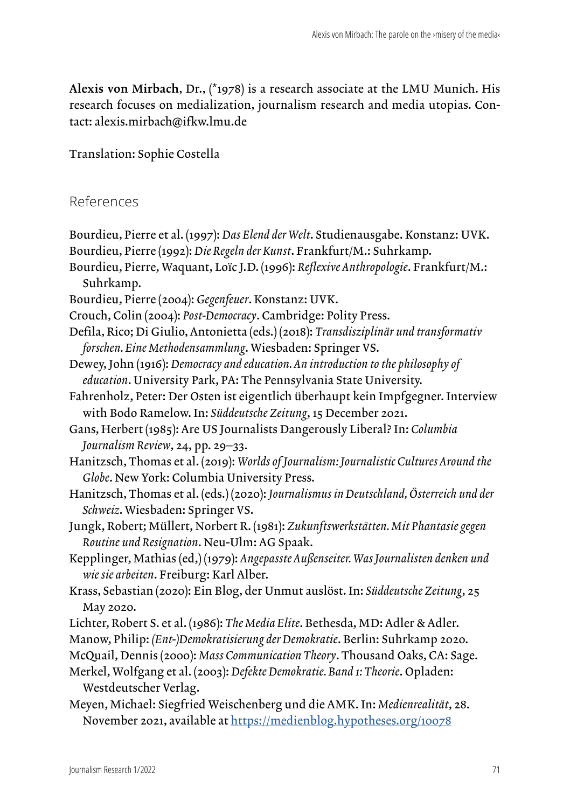Alexis von Mirbach, Dr., (\*1978) is a research associate at the LMU Munich. His research focuses on medialization, journalism research and media utopias. Contact: alexis.mirbach@ifkw.lmu.de

Translation: Sophie Costella

## References

- Bourdieu, Pierre et al. (1997): *Das Elend der Welt*. Studienausgabe. Konstanz: UVK. Bourdieu, Pierre (1992): *Die Regeln der Kunst*. Frankfurt/M.: Suhrkamp.
- Bourdieu, Pierre, Waquant, Loïc J.D. (1996): *Reflexive Anthropologie*. Frankfurt/M.: Suhrkamp.
- Bourdieu, Pierre (2004): *Gegenfeuer*. Konstanz: UVK.
- Crouch, Colin (2004): *Post-Democracy*. Cambridge: Polity Press.
- Defila, Rico; Di Giulio, Antonietta (eds.) (2018): *Transdisziplinär und transformativ forschen. Eine Methodensammlung*. Wiesbaden: Springer VS.
- Dewey, John (1916): *Democracy and education. An introduction to the philosophy of education*. University Park, PA: The Pennsylvania State University.
- Fahrenholz, Peter: Der Osten ist eigentlich überhaupt kein Impfgegner. Interview with Bodo Ramelow. In: *Süddeutsche Zeitung*, 15 December 2021.
- Gans, Herbert (1985): Are US Journalists Dangerously Liberal? In: *Columbia Journalism Review*, 24, pp. 29–33.
- Hanitzsch, Thomas et al. (2019): *Worlds of Journalism: Journalistic Cultures Around the Globe*. New York: Columbia University Press.
- Hanitzsch, Thomas et al. (eds.) (2020): *Journalismus in Deutschland, Österreich und der Schweiz*. Wiesbaden: Springer VS.
- Jungk, Robert; Müllert, Norbert R. (1981): *Zukunftswerkstätten. Mit Phantasie gegen Routine und Resignation*. Neu-Ulm: AG Spaak.
- Kepplinger, Mathias (ed,) (1979): *Angepasste Außenseiter. Was Journalisten denken und wie sie arbeiten*. Freiburg: Karl Alber.
- Krass, Sebastian (2020): Ein Blog, der Unmut auslöst. In: *Süddeutsche Zeitung*, 25 May 2020.
- Lichter, Robert S. et al. (1986): *The Media Elite*. Bethesda, MD: Adler & Adler.
- Manow, Philip: *(Ent-)Demokratisierung der Demokratie*. Berlin: Suhrkamp 2020.
- McQuail, Dennis (2000): *Mass Communication Theory*. Thousand Oaks, CA: Sage.
- Merkel, Wolfgang et al. (2003): *Defekte Demokratie. Band 1: Theorie*. Opladen: Westdeutscher Verlag.
- Meyen, Michael: Siegfried Weischenberg und die AMK. In: *Medienrealität*, 28. November 2021, available at <https://medienblog.hypotheses.org/10078>